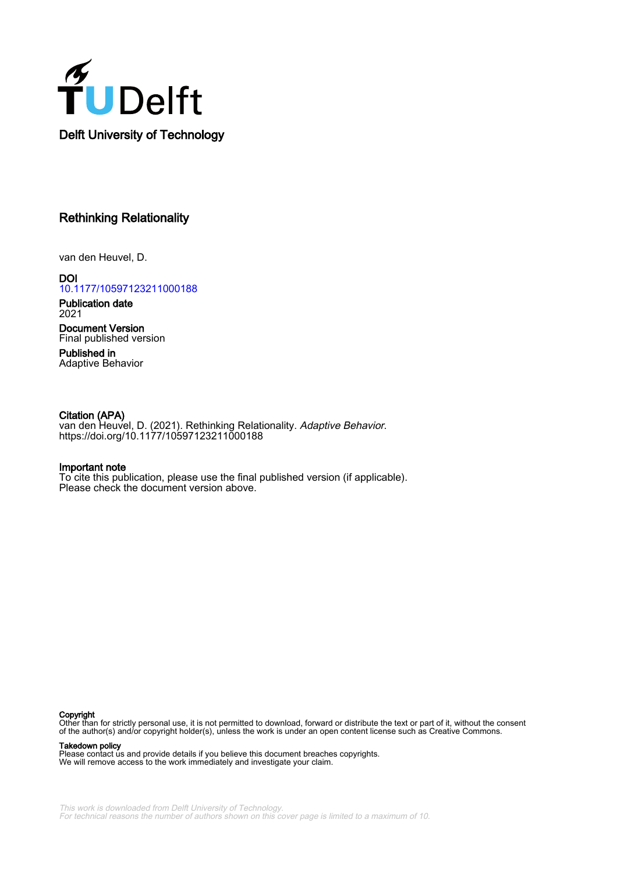

# Rethinking Relationality

van den Heuvel, D.

**DOI** [10.1177/10597123211000188](https://doi.org/10.1177/10597123211000188)

Publication date 2021

Document Version Final published version

Published in Adaptive Behavior

# Citation (APA)

van den Heuvel, D. (2021). Rethinking Relationality. *Adaptive Behavior*. <https://doi.org/10.1177/10597123211000188>

### Important note

To cite this publication, please use the final published version (if applicable). Please check the document version above.

#### Copyright

Other than for strictly personal use, it is not permitted to download, forward or distribute the text or part of it, without the consent of the author(s) and/or copyright holder(s), unless the work is under an open content license such as Creative Commons.

Takedown policy

Please contact us and provide details if you believe this document breaches copyrights. We will remove access to the work immediately and investigate your claim.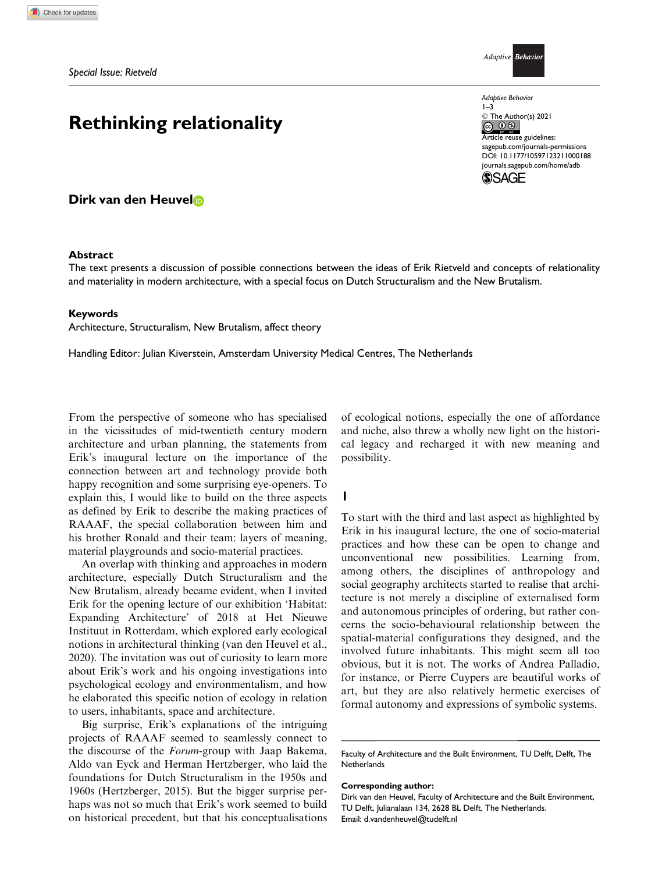# Rethinking relationality

Dirk van den Heuvel

### Abstract

Adaptive Behavio

Adaptive Behavior 1–3

© The Author(s) 2021

Article reuse guidelines: [sagepub.com/journals-permissions](https://uk.sagepub.com/en-gb/journals-permissions) [DOI: 10.1177/10597123211000188](https://doi.org/10.1177/10597123211000188) [journals.sagepub.com/home/adb](https://journals.sagepub.com/home/adb)



The text presents a discussion of possible connections between the ideas of Erik Rietveld and concepts of relationality and materiality in modern architecture, with a special focus on Dutch Structuralism and the New Brutalism.

### Keywords

Architecture, Structuralism, New Brutalism, affect theory

Handling Editor: Julian Kiverstein, Amsterdam University Medical Centres, The Netherlands

From the perspective of someone who has specialised in the vicissitudes of mid-twentieth century modern architecture and urban planning, the statements from Erik's inaugural lecture on the importance of the connection between art and technology provide both happy recognition and some surprising eye-openers. To explain this, I would like to build on the three aspects as defined by Erik to describe the making practices of RAAAF, the special collaboration between him and his brother Ronald and their team: layers of meaning, material playgrounds and socio-material practices.

An overlap with thinking and approaches in modern architecture, especially Dutch Structuralism and the New Brutalism, already became evident, when I invited Erik for the opening lecture of our exhibition 'Habitat: Expanding Architecture' of 2018 at Het Nieuwe Instituut in Rotterdam, which explored early ecological notions in architectural thinking (van den Heuvel et al., 2020). The invitation was out of curiosity to learn more about Erik's work and his ongoing investigations into psychological ecology and environmentalism, and how he elaborated this specific notion of ecology in relation to users, inhabitants, space and architecture.

Big surprise, Erik's explanations of the intriguing projects of RAAAF seemed to seamlessly connect to the discourse of the Forum-group with Jaap Bakema, Aldo van Eyck and Herman Hertzberger, who laid the foundations for Dutch Structuralism in the 1950s and 1960s (Hertzberger, 2015). But the bigger surprise perhaps was not so much that Erik's work seemed to build on historical precedent, but that his conceptualisations of ecological notions, especially the one of affordance and niche, also threw a wholly new light on the historical legacy and recharged it with new meaning and possibility.

### 1

To start with the third and last aspect as highlighted by Erik in his inaugural lecture, the one of socio-material practices and how these can be open to change and unconventional new possibilities. Learning from, among others, the disciplines of anthropology and social geography architects started to realise that architecture is not merely a discipline of externalised form and autonomous principles of ordering, but rather concerns the socio-behavioural relationship between the spatial-material configurations they designed, and the involved future inhabitants. This might seem all too obvious, but it is not. The works of Andrea Palladio, for instance, or Pierre Cuypers are beautiful works of art, but they are also relatively hermetic exercises of formal autonomy and expressions of symbolic systems.

Faculty of Architecture and the Built Environment, TU Delft, Delft, The **Netherlands** 

Corresponding author:

Dirk van den Heuvel, Faculty of Architecture and the Built Environment, TU Delft, Julianalaan 134, 2628 BL Delft, The Netherlands. Email: d.vandenheuvel@tudelft.nl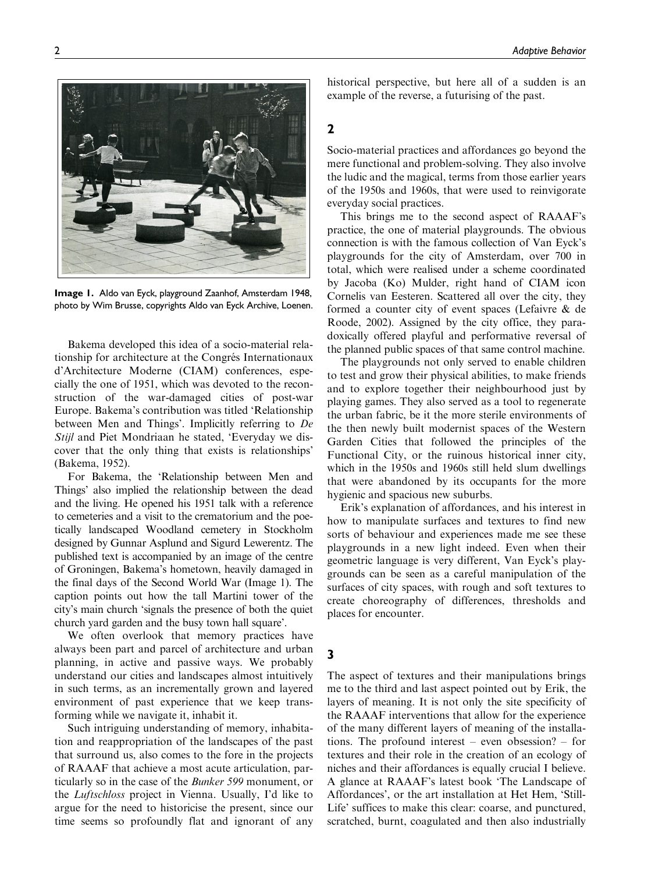

Image 1. Aldo van Eyck, playground Zaanhof, Amsterdam 1948, photo by Wim Brusse, copyrights Aldo van Eyck Archive, Loenen.

Bakema developed this idea of a socio-material relationship for architecture at the Congrés Internationaux d'Architecture Moderne (CIAM) conferences, especially the one of 1951, which was devoted to the reconstruction of the war-damaged cities of post-war Europe. Bakema's contribution was titled 'Relationship between Men and Things'. Implicitly referring to De Stijl and Piet Mondriaan he stated, 'Everyday we discover that the only thing that exists is relationships' (Bakema, 1952).

For Bakema, the 'Relationship between Men and Things' also implied the relationship between the dead and the living. He opened his 1951 talk with a reference to cemeteries and a visit to the crematorium and the poetically landscaped Woodland cemetery in Stockholm designed by Gunnar Asplund and Sigurd Lewerentz. The published text is accompanied by an image of the centre of Groningen, Bakema's hometown, heavily damaged in the final days of the Second World War (Image 1). The caption points out how the tall Martini tower of the city's main church 'signals the presence of both the quiet church yard garden and the busy town hall square'.

We often overlook that memory practices have always been part and parcel of architecture and urban planning, in active and passive ways. We probably understand our cities and landscapes almost intuitively in such terms, as an incrementally grown and layered environment of past experience that we keep transforming while we navigate it, inhabit it.

Such intriguing understanding of memory, inhabitation and reappropriation of the landscapes of the past that surround us, also comes to the fore in the projects of RAAAF that achieve a most acute articulation, particularly so in the case of the Bunker 599 monument, or the Luftschloss project in Vienna. Usually, I'd like to argue for the need to historicise the present, since our time seems so profoundly flat and ignorant of any historical perspective, but here all of a sudden is an example of the reverse, a futurising of the past.

# 2

Socio-material practices and affordances go beyond the mere functional and problem-solving. They also involve the ludic and the magical, terms from those earlier years of the 1950s and 1960s, that were used to reinvigorate everyday social practices.

This brings me to the second aspect of RAAAF's practice, the one of material playgrounds. The obvious connection is with the famous collection of Van Eyck's playgrounds for the city of Amsterdam, over 700 in total, which were realised under a scheme coordinated by Jacoba (Ko) Mulder, right hand of CIAM icon Cornelis van Eesteren. Scattered all over the city, they formed a counter city of event spaces (Lefaivre & de Roode, 2002). Assigned by the city office, they paradoxically offered playful and performative reversal of the planned public spaces of that same control machine.

The playgrounds not only served to enable children to test and grow their physical abilities, to make friends and to explore together their neighbourhood just by playing games. They also served as a tool to regenerate the urban fabric, be it the more sterile environments of the then newly built modernist spaces of the Western Garden Cities that followed the principles of the Functional City, or the ruinous historical inner city, which in the 1950s and 1960s still held slum dwellings that were abandoned by its occupants for the more hygienic and spacious new suburbs.

Erik's explanation of affordances, and his interest in how to manipulate surfaces and textures to find new sorts of behaviour and experiences made me see these playgrounds in a new light indeed. Even when their geometric language is very different, Van Eyck's playgrounds can be seen as a careful manipulation of the surfaces of city spaces, with rough and soft textures to create choreography of differences, thresholds and places for encounter.

### 3

The aspect of textures and their manipulations brings me to the third and last aspect pointed out by Erik, the layers of meaning. It is not only the site specificity of the RAAAF interventions that allow for the experience of the many different layers of meaning of the installations. The profound interest – even obsession? – for textures and their role in the creation of an ecology of niches and their affordances is equally crucial I believe. A glance at RAAAF's latest book 'The Landscape of Affordances', or the art installation at Het Hem, 'Still-Life' suffices to make this clear: coarse, and punctured, scratched, burnt, coagulated and then also industrially